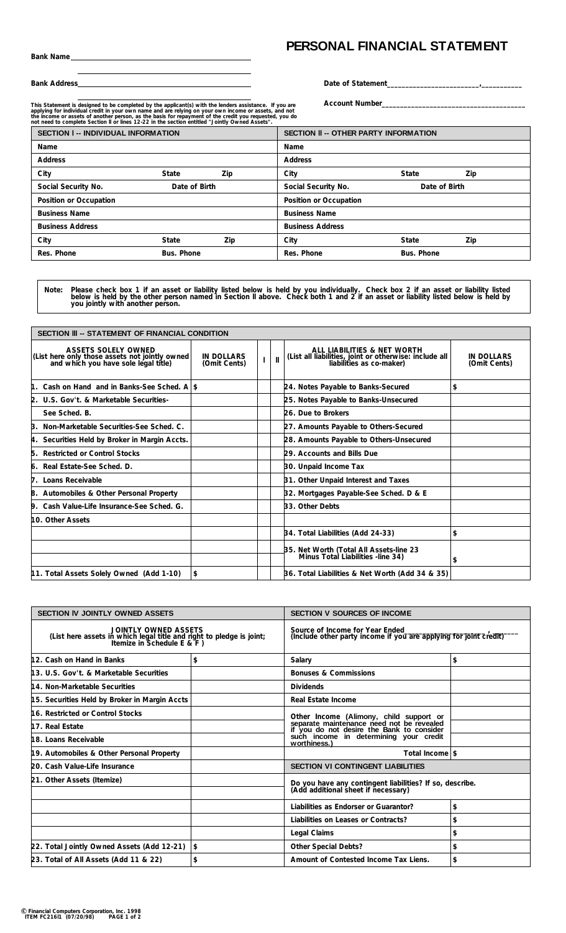## **PERSONAL FINANCIAL STATEMENT**

**Bank Address**

| Date of Statement |  |
|-------------------|--|
|-------------------|--|

**Account Number\_\_\_\_\_\_\_\_\_\_\_\_\_\_\_\_\_\_\_\_\_\_\_\_\_\_\_\_\_\_\_\_\_\_\_\_\_\_\_**

This Statement is designed to be completed by the applicant(s) with the lenders assistance. If you are<br>applying for individual credit in your own name and are relying on your own income or assets, and not<br>the income or ass

| <b>SECTION I -- INDIVIDUAL INFORMATION</b> |               |                         | <b>SECTION II -- OTHER PARTY INFORMATION</b> |               |     |  |  |  |
|--------------------------------------------|---------------|-------------------------|----------------------------------------------|---------------|-----|--|--|--|
| Name                                       |               |                         | Name                                         |               |     |  |  |  |
| <b>Address</b>                             |               |                         | Address                                      |               |     |  |  |  |
| City                                       | State         | Zip                     | City                                         | State         | Zip |  |  |  |
| Social Security No.                        | Date of Birth |                         | Social Security No.                          | Date of Birth |     |  |  |  |
| Position or Occupation                     |               |                         | Position or Occupation                       |               |     |  |  |  |
| <b>Business Name</b>                       |               |                         | <b>Business Name</b>                         |               |     |  |  |  |
| <b>Business Address</b>                    |               | <b>Business Address</b> |                                              |               |     |  |  |  |
| City                                       | State         | Zip                     | City                                         | State         | Zip |  |  |  |
| Res. Phone                                 | Bus. Phone    |                         | Res. Phone                                   | Bus. Phone    |     |  |  |  |

Please check box 1 if an asset or liability listed below is held by you individually. Check box 2 if an asset or liability listed<br>below is held by the other person named in Section II above. Check both 1 and 2 if an asse **Note:**

| SECTION III -- STATEMENT OF FINANCIAL CONDITION                                                                      |                                   |               |  |                                                                                                                   |                                   |  |  |  |
|----------------------------------------------------------------------------------------------------------------------|-----------------------------------|---------------|--|-------------------------------------------------------------------------------------------------------------------|-----------------------------------|--|--|--|
| <b>ASSETS SOLELY OWNED</b><br>(List here only those assets not jointly owned<br>and which you have sole legal title) | <b>IN DOLLARS</b><br>(Omit Cents) | $\mathbf{II}$ |  | ALL LIABILITIES & NET WORTH<br>(List all liabilities, joint or otherwise: include all<br>liabilities as co-maker) | <b>IN DOLLARS</b><br>(Omit Cents) |  |  |  |
| 1. Cash on Hand and in Banks-See Sched. Alst                                                                         |                                   |               |  | 24. Notes Payable to Banks-Secured                                                                                | \$                                |  |  |  |
| 2. U.S. Gov't. & Marketable Securities-                                                                              |                                   |               |  | 25. Notes Payable to Banks-Unsecured                                                                              |                                   |  |  |  |
| See Sched, B.                                                                                                        |                                   |               |  | 26. Due to Brokers                                                                                                |                                   |  |  |  |
| 3. Non-Marketable Securities-See Sched. C.                                                                           |                                   |               |  | 27. Amounts Payable to Others-Secured                                                                             |                                   |  |  |  |
| 4. Securities Held by Broker in Margin Accts.                                                                        |                                   |               |  | 28. Amounts Payable to Others-Unsecured                                                                           |                                   |  |  |  |
| <b>Restricted or Control Stocks</b><br>5.                                                                            |                                   |               |  | 29. Accounts and Bills Due                                                                                        |                                   |  |  |  |
| 6. Real Estate-See Sched. D.                                                                                         |                                   |               |  | 30. Unpaid Income Tax                                                                                             |                                   |  |  |  |
| 7. Loans Receivable                                                                                                  |                                   |               |  | 31. Other Unpaid Interest and Taxes                                                                               |                                   |  |  |  |
| 8. Automobiles & Other Personal Property                                                                             |                                   |               |  | 32. Mortgages Payable-See Sched. D & E                                                                            |                                   |  |  |  |
| 9. Cash Value-Life Insurance-See Sched. G.                                                                           |                                   |               |  | 33. Other Debts                                                                                                   |                                   |  |  |  |
| 10. Other Assets                                                                                                     |                                   |               |  |                                                                                                                   |                                   |  |  |  |
|                                                                                                                      |                                   |               |  | 34. Total Liabilities (Add 24-33)                                                                                 | \$                                |  |  |  |
|                                                                                                                      |                                   |               |  | 35. Net Worth (Total All Assets-line 23<br>Minus Total Liabilities -line 34)                                      | \$                                |  |  |  |
| 11. Total Assets Solely Owned (Add 1-10)                                                                             | \$                                |               |  | 36. Total Liabilities & Net Worth (Add 34 & 35)                                                                   |                                   |  |  |  |

| <b>SECTION IV JOINTLY OWNED ASSETS</b>                                                                                               |                | <b>SECTION V SOURCES OF INCOME</b>                                                                                                |    |  |  |  |  |  |
|--------------------------------------------------------------------------------------------------------------------------------------|----------------|-----------------------------------------------------------------------------------------------------------------------------------|----|--|--|--|--|--|
| <b>JOINTLY OWNED ASSETS</b><br>(List here assets in which legal title and right to pledge is joint;<br>Itemize in Schedule E & $F$ ) |                | Source of Income for Year Ended<br>(Include other party income if you are applying for joint credit)                              |    |  |  |  |  |  |
| 12. Cash on Hand in Banks                                                                                                            | \$             | Salary                                                                                                                            | \$ |  |  |  |  |  |
| 13. U.S. Gov't. & Marketable Securities                                                                                              |                | <b>Bonuses &amp; Commissions</b>                                                                                                  |    |  |  |  |  |  |
| 14. Non-Marketable Securities                                                                                                        |                | <b>Dividends</b>                                                                                                                  |    |  |  |  |  |  |
| 15. Securities Held by Broker in Margin Accts                                                                                        |                | Real Estate Income                                                                                                                |    |  |  |  |  |  |
| 16. Restricted or Control Stocks                                                                                                     |                |                                                                                                                                   |    |  |  |  |  |  |
| 17. Real Estate                                                                                                                      |                | Other Income (Alimony, child support or<br>separate maintenance need not be revealed<br>if you do not desire the Bank to consider |    |  |  |  |  |  |
| 18. Loans Receivable                                                                                                                 |                | such income in determining your credit<br>worthiness.)                                                                            |    |  |  |  |  |  |
| 19. Automobiles & Other Personal Property                                                                                            |                | Total Income \$                                                                                                                   |    |  |  |  |  |  |
| 20. Cash Value-Life Insurance                                                                                                        |                | <b>SECTION VI CONTINGENT LIABILITIES</b>                                                                                          |    |  |  |  |  |  |
| 21. Other Assets (Itemize)                                                                                                           |                | Do you have any contingent liabilities? If so, describe.<br>(Add additional sheet if necessary)                                   |    |  |  |  |  |  |
|                                                                                                                                      |                | Liabilities as Endorser or Guarantor?                                                                                             | \$ |  |  |  |  |  |
|                                                                                                                                      |                | Liabilities on Leases or Contracts?                                                                                               | \$ |  |  |  |  |  |
|                                                                                                                                      |                | Legal Claims                                                                                                                      | \$ |  |  |  |  |  |
| 22. Total Jointly Owned Assets (Add 12-21)                                                                                           | $\mathfrak{s}$ | Other Special Debts?                                                                                                              | \$ |  |  |  |  |  |
| 23. Total of All Assets (Add 11 & 22)                                                                                                | \$             | Amount of Contested Income Tax Liens.<br>\$                                                                                       |    |  |  |  |  |  |